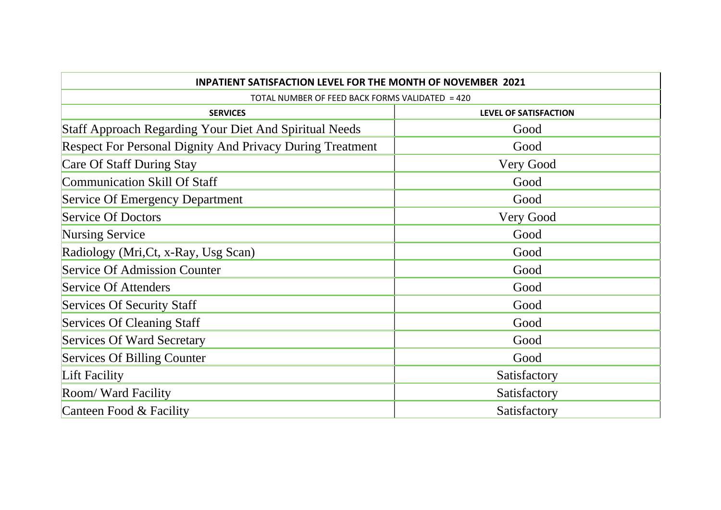| <b>INPATIENT SATISFACTION LEVEL FOR THE MONTH OF NOVEMBER 2021</b><br>TOTAL NUMBER OF FEED BACK FORMS VALIDATED = 420 |              |
|-----------------------------------------------------------------------------------------------------------------------|--------------|
|                                                                                                                       |              |
| <b>Staff Approach Regarding Your Diet And Spiritual Needs</b>                                                         | Good         |
| <b>Respect For Personal Dignity And Privacy During Treatment</b>                                                      | Good         |
| Care Of Staff During Stay                                                                                             | Very Good    |
| <b>Communication Skill Of Staff</b>                                                                                   | Good         |
| <b>Service Of Emergency Department</b>                                                                                | Good         |
| <b>Service Of Doctors</b>                                                                                             | Very Good    |
| <b>Nursing Service</b>                                                                                                | Good         |
| Radiology (Mri, Ct, x-Ray, Usg Scan)                                                                                  | Good         |
| <b>Service Of Admission Counter</b>                                                                                   | Good         |
| Service Of Attenders                                                                                                  | Good         |
| <b>Services Of Security Staff</b>                                                                                     | Good         |
| Services Of Cleaning Staff                                                                                            | Good         |
| Services Of Ward Secretary                                                                                            | Good         |
| Services Of Billing Counter                                                                                           | Good         |
| Lift Facility                                                                                                         | Satisfactory |
| Room/ Ward Facility                                                                                                   | Satisfactory |
| Canteen Food & Facility                                                                                               | Satisfactory |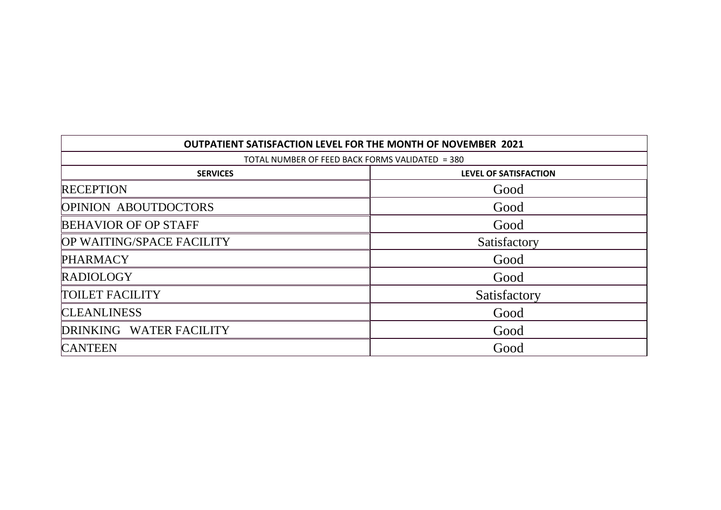| <b>OUTPATIENT SATISFACTION LEVEL FOR THE MONTH OF NOVEMBER 2021</b> |                              |  |
|---------------------------------------------------------------------|------------------------------|--|
| TOTAL NUMBER OF FEED BACK FORMS VALIDATED = 380                     |                              |  |
| <b>SERVICES</b>                                                     | <b>LEVEL OF SATISFACTION</b> |  |
| <b>RECEPTION</b>                                                    | Good                         |  |
| <b>OPINION ABOUTDOCTORS</b>                                         | Good                         |  |
| <b>BEHAVIOR OF OP STAFF</b>                                         | Good                         |  |
| OP WAITING/SPACE FACILITY                                           | Satisfactory                 |  |
| <b>PHARMACY</b>                                                     | Good                         |  |
| <b>RADIOLOGY</b>                                                    | Good                         |  |
| <b>TOILET FACILITY</b>                                              | Satisfactory                 |  |
| <b>CLEANLINESS</b>                                                  | Good                         |  |
| DRINKING WATER FACILITY                                             | Good                         |  |
| <b>CANTEEN</b>                                                      | Good                         |  |

 $\mathsf{r}$